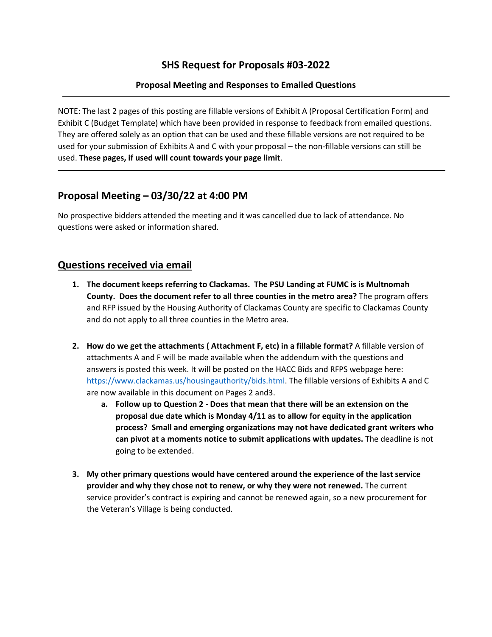### **SHS Request for Proposals #03-2022**

#### **Proposal Meeting and Responses to Emailed Questions**

NOTE: The last 2 pages of this posting are fillable versions of Exhibit A (Proposal Certification Form) and Exhibit C (Budget Template) which have been provided in response to feedback from emailed questions. They are offered solely as an option that can be used and these fillable versions are not required to be used for your submission of Exhibits A and C with your proposal – the non-fillable versions can still be used. **These pages, if used will count towards your page limit**.

### **Proposal Meeting – 03/30/22 at 4:00 PM**

No prospective bidders attended the meeting and it was cancelled due to lack of attendance. No questions were asked or information shared.

#### **Questions received via email**

- **1. The document keeps referring to Clackamas. The PSU Landing at FUMC is is Multnomah County. Does the document refer to all three counties in the metro area?** The program offers and RFP issued by the Housing Authority of Clackamas County are specific to Clackamas County and do not apply to all three counties in the Metro area.
- **2. How do we get the attachments ( Attachment F, etc) in a fillable format?** A fillable version of attachments A and F will be made available when the addendum with the questions and answers is posted this week. It will be posted on the HACC Bids and RFPS webpage here: [https://www.clackamas.us/housingauthority/bids.html.](https://www.clackamas.us/housingauthority/bids.html) The fillable versions of Exhibits A and C are now available in this document on Pages 2 and3.
	- **a. Follow up to Question 2 - Does that mean that there will be an extension on the proposal due date which is Monday 4/11 as to allow for equity in the application process? Small and emerging organizations may not have dedicated grant writers who can pivot at a moments notice to submit applications with updates.** The deadline is not going to be extended.
- **3. My other primary questions would have centered around the experience of the last service provider and why they chose not to renew, or why they were not renewed.** The current service provider's contract is expiring and cannot be renewed again, so a new procurement for the Veteran's Village is being conducted.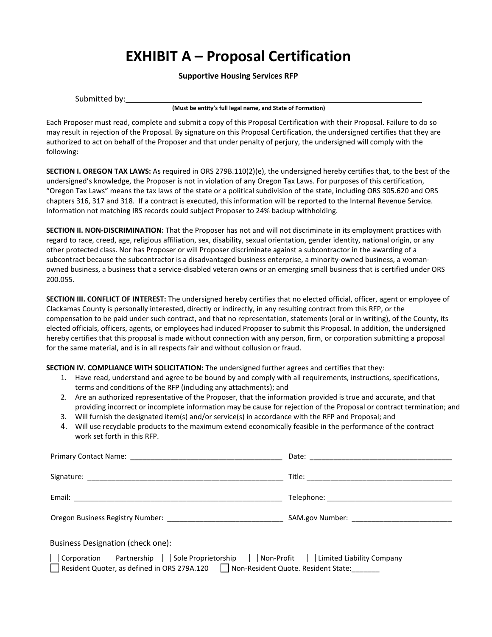## **EXHIBIT A – Proposal Certification**

#### **Supportive Housing Services RFP**

**(Must be entity's full legal name, and State of Formation)**

Each Proposer must read, complete and submit a copy of this Proposal Certification with their Proposal. Failure to do so may result in rejection of the Proposal. By signature on this Proposal Certification, the undersigned certifies that they are authorized to act on behalf of the Proposer and that under penalty of perjury, the undersigned will comply with the following:

**SECTION I. OREGON TAX LAWS:** As required in ORS 279B.110(2)(e), the undersigned hereby certifies that, to the best of the undersigned's knowledge, the Proposer is not in violation of any Oregon Tax Laws. For purposes of this certification, "Oregon Tax Laws" means the tax laws of the state or a political subdivision of the state, including ORS 305.620 and ORS chapters 316, 317 and 318. If a contract is executed, this information will be reported to the Internal Revenue Service. Information not matching IRS records could subject Proposer to 24% backup withholding.

**SECTION II. NON-DISCRIMINATION:** That the Proposer has not and will not discriminate in its employment practices with regard to race, creed, age, religious affiliation, sex, disability, sexual orientation, gender identity, national origin, or any other protected class. Nor has Proposer or will Proposer discriminate against a subcontractor in the awarding of a subcontract because the subcontractor is a disadvantaged business enterprise, a minority-owned business, a womanowned business, a business that a service-disabled veteran owns or an emerging small business that is certified under ORS 200.055.

**SECTION III. CONFLICT OF INTEREST:** The undersigned hereby certifies that no elected official, officer, agent or employee of Clackamas County is personally interested, directly or indirectly, in any resulting contract from this RFP, or the compensation to be paid under such contract, and that no representation, statements (oral or in writing), of the County, its elected officials, officers, agents, or employees had induced Proposer to submit this Proposal. In addition, the undersigned hereby certifies that this proposal is made without connection with any person, firm, or corporation submitting a proposal for the same material, and is in all respects fair and without collusion or fraud.

**SECTION IV. COMPLIANCE WITH SOLICITATION:** The undersigned further agrees and certifies that they:

- 1. Have read, understand and agree to be bound by and comply with all requirements, instructions, specifications, terms and conditions of the RFP (including any attachments); and
- 2. Are an authorized representative of the Proposer, that the information provided is true and accurate, and that providing incorrect or incomplete information may be cause for rejection of the Proposal or contract termination; and
- 3. Will furnish the designated item(s) and/or service(s) in accordance with the RFP and Proposal; and
- 4. Will use recyclable products to the maximum extend economically feasible in the performance of the contract work set forth in this RFP.

| <b>Business Designation (check one):</b>                                                                                                                                      |  |
|-------------------------------------------------------------------------------------------------------------------------------------------------------------------------------|--|
| □ Corporation □ Partnership □ Sole Proprietorship □ Non-Profit □ Limited Liability Company<br>Resident Quoter, as defined in ORS 279A.120 Mon-Resident Quote. Resident State: |  |